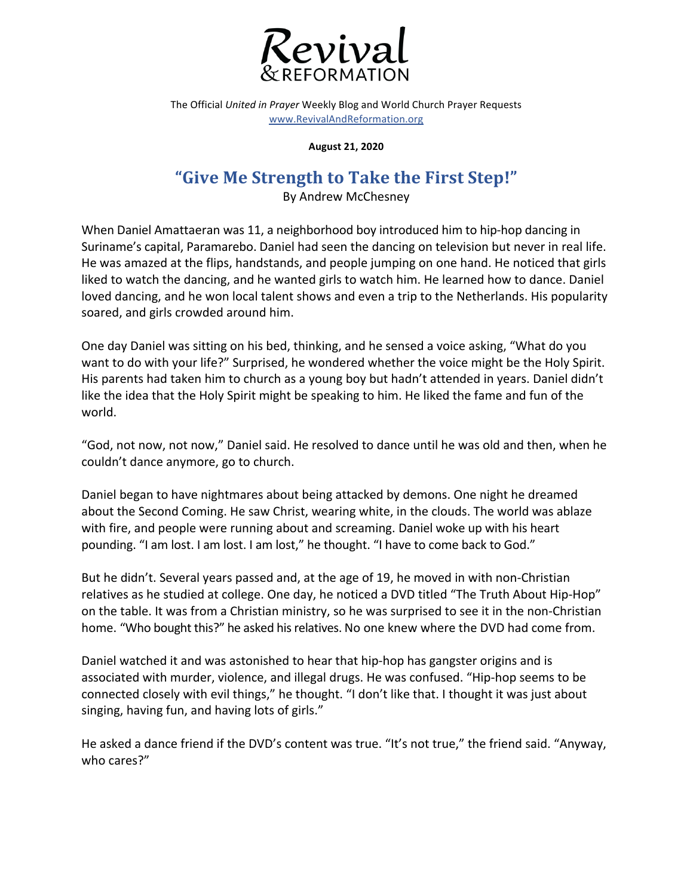

The Official *United in Prayer* Weekly Blog and World Church Prayer Requests www.RevivalAndReformation.org

**August 21, 2020**

## "Give Me Strength to Take the First Step!"

By Andrew McChesney

When Daniel Amattaeran was 11, a neighborhood boy introduced him to hip-hop dancing in Suriname's capital, Paramarebo. Daniel had seen the dancing on television but never in real life. He was amazed at the flips, handstands, and people jumping on one hand. He noticed that girls liked to watch the dancing, and he wanted girls to watch him. He learned how to dance. Daniel loved dancing, and he won local talent shows and even a trip to the Netherlands. His popularity soared, and girls crowded around him.

One day Daniel was sitting on his bed, thinking, and he sensed a voice asking, "What do you want to do with your life?" Surprised, he wondered whether the voice might be the Holy Spirit. His parents had taken him to church as a young boy but hadn't attended in years. Daniel didn't like the idea that the Holy Spirit might be speaking to him. He liked the fame and fun of the world. 

"God, not now, not now," Daniel said. He resolved to dance until he was old and then, when he couldn't dance anymore, go to church.

Daniel began to have nightmares about being attacked by demons. One night he dreamed about the Second Coming. He saw Christ, wearing white, in the clouds. The world was ablaze with fire, and people were running about and screaming. Daniel woke up with his heart pounding. "I am lost. I am lost. I am lost," he thought. "I have to come back to God."

But he didn't. Several years passed and, at the age of 19, he moved in with non-Christian relatives as he studied at college. One day, he noticed a DVD titled "The Truth About Hip-Hop" on the table. It was from a Christian ministry, so he was surprised to see it in the non-Christian home. "Who bought this?" he asked his relatives. No one knew where the DVD had come from.

Daniel watched it and was astonished to hear that hip-hop has gangster origins and is associated with murder, violence, and illegal drugs. He was confused. "Hip-hop seems to be connected closely with evil things," he thought. "I don't like that. I thought it was just about singing, having fun, and having lots of girls."

He asked a dance friend if the DVD's content was true. "It's not true," the friend said. "Anyway, who cares?"